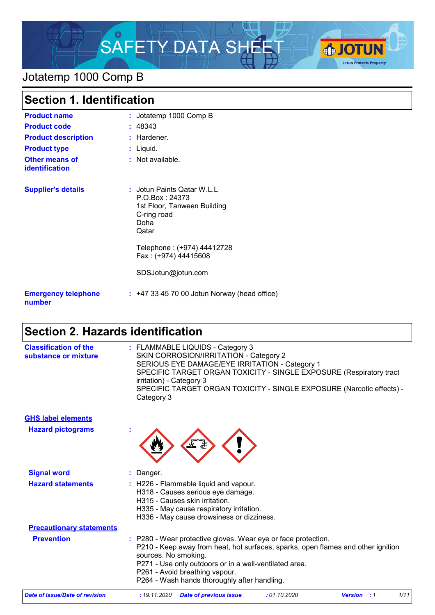

# Jotatemp 1000 Comp B

| <b>Section 1. Identification</b>               |                                                                                                             |
|------------------------------------------------|-------------------------------------------------------------------------------------------------------------|
| <b>Product name</b>                            | : Jotatemp 1000 Comp B                                                                                      |
| <b>Product code</b>                            | : 48343                                                                                                     |
| <b>Product description</b>                     | : Hardener.                                                                                                 |
| <b>Product type</b>                            | : Liquid.                                                                                                   |
| <b>Other means of</b><br><b>identification</b> | : Not available.                                                                                            |
| <b>Supplier's details</b>                      | : Jotun Paints Qatar W.L.L<br>P.O.Box: 24373<br>1st Floor, Tanween Building<br>C-ring road<br>Doha<br>Qatar |
|                                                | Telephone: (+974) 44412728<br>Fax: (+974) 44415608                                                          |
|                                                | SDSJotun@jotun.com                                                                                          |
| <b>Emergency telephone</b><br>number           | $: +4733457000$ Jotun Norway (head office)                                                                  |

# **Section 2. Hazards identification**

| <b>Classification of the</b><br>substance or mixture | : FLAMMABLE LIQUIDS - Category 3<br>SKIN CORROSION/IRRITATION - Category 2<br>SERIOUS EYE DAMAGE/EYE IRRITATION - Category 1<br>SPECIFIC TARGET ORGAN TOXICITY - SINGLE EXPOSURE (Respiratory tract<br>irritation) - Category 3<br>SPECIFIC TARGET ORGAN TOXICITY - SINGLE EXPOSURE (Narcotic effects) -<br>Category 3 |
|------------------------------------------------------|------------------------------------------------------------------------------------------------------------------------------------------------------------------------------------------------------------------------------------------------------------------------------------------------------------------------|
| <b>GHS label elements</b>                            |                                                                                                                                                                                                                                                                                                                        |
| <b>Hazard pictograms</b>                             |                                                                                                                                                                                                                                                                                                                        |
| <b>Signal word</b>                                   | : Danger.                                                                                                                                                                                                                                                                                                              |
| <b>Hazard statements</b>                             | : H226 - Flammable liquid and vapour.<br>H318 - Causes serious eye damage.<br>H315 - Causes skin irritation.<br>H335 - May cause respiratory irritation.<br>H336 - May cause drowsiness or dizziness.                                                                                                                  |
| <b>Precautionary statements</b>                      |                                                                                                                                                                                                                                                                                                                        |
| <b>Prevention</b>                                    | : P280 - Wear protective gloves. Wear eye or face protection.<br>P210 - Keep away from heat, hot surfaces, sparks, open flames and other ignition<br>sources. No smoking.<br>P271 - Use only outdoors or in a well-ventilated area.<br>P261 - Avoid breathing vapour.<br>P264 - Wash hands thoroughly after handling.  |
| <b>Date of issue/Date of revision</b>                | : 01.10.2020<br>1/11<br>: 19.11.2020<br><b>Date of previous issue</b><br><b>Version</b><br>$\cdot$ :1                                                                                                                                                                                                                  |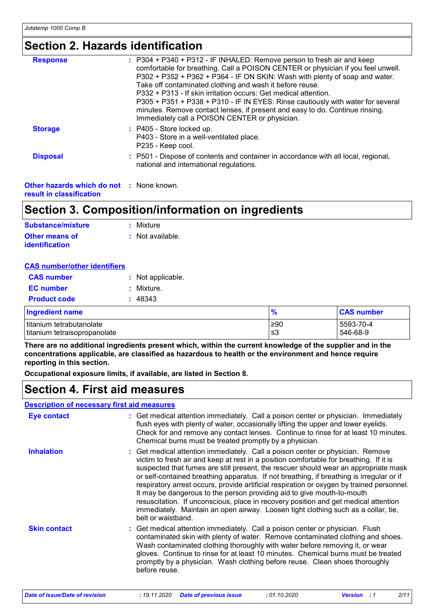## **Section 2. Hazards identification**

| <b>Response</b> | $: P304 + P340 + P312 - IF INHALED: Remove person to fresh air and keep$<br>comfortable for breathing. Call a POISON CENTER or physician if you feel unwell.<br>P302 + P352 + P362 + P364 - IF ON SKIN: Wash with plenty of soap and water.<br>Take off contaminated clothing and wash it before reuse.<br>P332 + P313 - If skin irritation occurs: Get medical attention.<br>P305 + P351 + P338 + P310 - IF IN EYES: Rinse cautiously with water for several<br>minutes. Remove contact lenses, if present and easy to do. Continue rinsing.<br>Immediately call a POISON CENTER or physician. |
|-----------------|-------------------------------------------------------------------------------------------------------------------------------------------------------------------------------------------------------------------------------------------------------------------------------------------------------------------------------------------------------------------------------------------------------------------------------------------------------------------------------------------------------------------------------------------------------------------------------------------------|
| <b>Storage</b>  | : P405 - Store locked up.<br>P403 - Store in a well-ventilated place.<br>P235 - Keep cool.                                                                                                                                                                                                                                                                                                                                                                                                                                                                                                      |
| <b>Disposal</b> | : P501 - Dispose of contents and container in accordance with all local, regional,<br>national and international regulations.                                                                                                                                                                                                                                                                                                                                                                                                                                                                   |

**Other hazards which do not :** None known. **result in classification**

## **Section 3. Composition/information on ingredients**

| Substance/mixture                       | : Mixture        |
|-----------------------------------------|------------------|
| <b>Other means of</b><br>identification | : Not available. |

### **CAS number/other identifiers**

| <b>CAS number</b>      | : Not applicable. |
|------------------------|-------------------|
| <b>EC</b> number       | : Mixture.        |
| <b>Product code</b>    | : 48343           |
| <b>Ingredient name</b> |                   |

| <b>Ingredient name</b>       |      | <b>CAS number</b> |
|------------------------------|------|-------------------|
| titanium tetrabutanolate     | l≥90 | 5593-70-4         |
| titanium tetraisopropanolate | ≤3   | 546-68-9          |

**There are no additional ingredients present which, within the current knowledge of the supplier and in the concentrations applicable, are classified as hazardous to health or the environment and hence require reporting in this section.**

**Occupational exposure limits, if available, are listed in Section 8.**

### **Section 4. First aid measures**

#### **Description of necessary first aid measures**

| <b>Eye contact</b>  | : Get medical attention immediately. Call a poison center or physician. Immediately<br>flush eyes with plenty of water, occasionally lifting the upper and lower eyelids.<br>Check for and remove any contact lenses. Continue to rinse for at least 10 minutes.<br>Chemical burns must be treated promptly by a physician.                                                                                                                                                                                                                                                                                                                                                                                                           |
|---------------------|---------------------------------------------------------------------------------------------------------------------------------------------------------------------------------------------------------------------------------------------------------------------------------------------------------------------------------------------------------------------------------------------------------------------------------------------------------------------------------------------------------------------------------------------------------------------------------------------------------------------------------------------------------------------------------------------------------------------------------------|
| <b>Inhalation</b>   | : Get medical attention immediately. Call a poison center or physician. Remove<br>victim to fresh air and keep at rest in a position comfortable for breathing. If it is<br>suspected that fumes are still present, the rescuer should wear an appropriate mask<br>or self-contained breathing apparatus. If not breathing, if breathing is irregular or if<br>respiratory arrest occurs, provide artificial respiration or oxygen by trained personnel.<br>It may be dangerous to the person providing aid to give mouth-to-mouth<br>resuscitation. If unconscious, place in recovery position and get medical attention<br>immediately. Maintain an open airway. Loosen tight clothing such as a collar, tie,<br>belt or waistband. |
| <b>Skin contact</b> | : Get medical attention immediately. Call a poison center or physician. Flush<br>contaminated skin with plenty of water. Remove contaminated clothing and shoes.<br>Wash contaminated clothing thoroughly with water before removing it, or wear<br>gloves. Continue to rinse for at least 10 minutes. Chemical burns must be treated<br>promptly by a physician. Wash clothing before reuse. Clean shoes thoroughly<br>before reuse.                                                                                                                                                                                                                                                                                                 |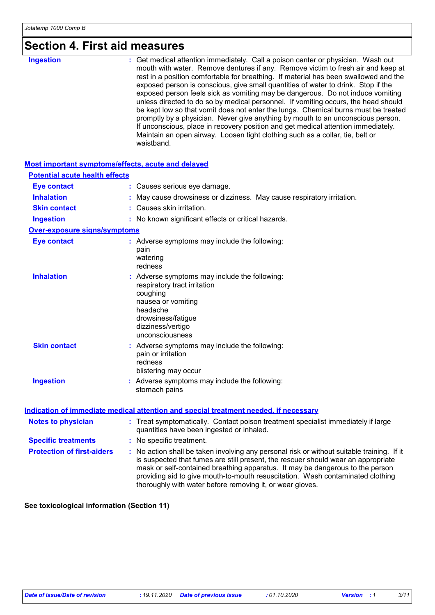# **Section 4. First aid measures**

| <b>Ingestion</b> | : Get medical attention immediately. Call a poison center or physician. Wash out<br>mouth with water. Remove dentures if any. Remove victim to fresh air and keep at<br>rest in a position comfortable for breathing. If material has been swallowed and the<br>exposed person is conscious, give small quantities of water to drink. Stop if the<br>exposed person feels sick as vomiting may be dangerous. Do not induce vomiting<br>unless directed to do so by medical personnel. If vomiting occurs, the head should<br>be kept low so that vomit does not enter the lungs. Chemical burns must be treated<br>promptly by a physician. Never give anything by mouth to an unconscious person.<br>If unconscious, place in recovery position and get medical attention immediately.<br>Maintain an open airway. Loosen tight clothing such as a collar, tie, belt or |
|------------------|--------------------------------------------------------------------------------------------------------------------------------------------------------------------------------------------------------------------------------------------------------------------------------------------------------------------------------------------------------------------------------------------------------------------------------------------------------------------------------------------------------------------------------------------------------------------------------------------------------------------------------------------------------------------------------------------------------------------------------------------------------------------------------------------------------------------------------------------------------------------------|
|                  | waistband.                                                                                                                                                                                                                                                                                                                                                                                                                                                                                                                                                                                                                                                                                                                                                                                                                                                               |

#### **Most important symptoms/effects, acute and delayed**

| <b>Potential acute health effects</b> |                                                                                                                                                                                                                                                                                                                                                                                                                 |
|---------------------------------------|-----------------------------------------------------------------------------------------------------------------------------------------------------------------------------------------------------------------------------------------------------------------------------------------------------------------------------------------------------------------------------------------------------------------|
| <b>Eye contact</b>                    | : Causes serious eye damage.                                                                                                                                                                                                                                                                                                                                                                                    |
| <b>Inhalation</b>                     | May cause drowsiness or dizziness. May cause respiratory irritation.                                                                                                                                                                                                                                                                                                                                            |
| <b>Skin contact</b>                   | : Causes skin irritation.                                                                                                                                                                                                                                                                                                                                                                                       |
| <b>Ingestion</b>                      | : No known significant effects or critical hazards.                                                                                                                                                                                                                                                                                                                                                             |
| <b>Over-exposure signs/symptoms</b>   |                                                                                                                                                                                                                                                                                                                                                                                                                 |
| <b>Eye contact</b>                    | : Adverse symptoms may include the following:<br>pain<br>watering<br>redness                                                                                                                                                                                                                                                                                                                                    |
| <b>Inhalation</b>                     | Adverse symptoms may include the following:<br>respiratory tract irritation<br>coughing<br>nausea or vomiting<br>headache<br>drowsiness/fatigue<br>dizziness/vertigo<br>unconsciousness                                                                                                                                                                                                                         |
| <b>Skin contact</b>                   | : Adverse symptoms may include the following:<br>pain or irritation<br>redness<br>blistering may occur                                                                                                                                                                                                                                                                                                          |
| <b>Ingestion</b>                      | : Adverse symptoms may include the following:<br>stomach pains                                                                                                                                                                                                                                                                                                                                                  |
|                                       | Indication of immediate medical attention and special treatment needed, if necessary                                                                                                                                                                                                                                                                                                                            |
| <b>Notes to physician</b>             | : Treat symptomatically. Contact poison treatment specialist immediately if large<br>quantities have been ingested or inhaled.                                                                                                                                                                                                                                                                                  |
| <b>Specific treatments</b>            | : No specific treatment.                                                                                                                                                                                                                                                                                                                                                                                        |
| <b>Protection of first-aiders</b>     | : No action shall be taken involving any personal risk or without suitable training. If it<br>is suspected that fumes are still present, the rescuer should wear an appropriate<br>mask or self-contained breathing apparatus. It may be dangerous to the person<br>providing aid to give mouth-to-mouth resuscitation. Wash contaminated clothing<br>thoroughly with water before removing it, or wear gloves. |

**See toxicological information (Section 11)**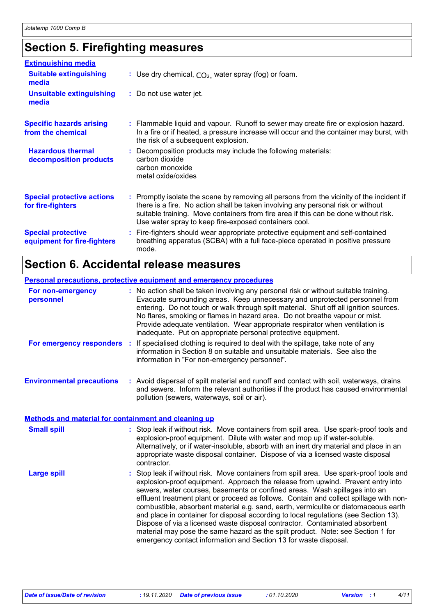# **Section 5. Firefighting measures**

| <b>Extinguishing media</b>                               |                                                                                                                                                                                                                                                                                                                               |
|----------------------------------------------------------|-------------------------------------------------------------------------------------------------------------------------------------------------------------------------------------------------------------------------------------------------------------------------------------------------------------------------------|
| <b>Suitable extinguishing</b><br>media                   | : Use dry chemical, $CO2$ , water spray (fog) or foam.                                                                                                                                                                                                                                                                        |
| <b>Unsuitable extinguishing</b><br>media                 | : Do not use water jet.                                                                                                                                                                                                                                                                                                       |
| <b>Specific hazards arising</b><br>from the chemical     | : Flammable liquid and vapour. Runoff to sewer may create fire or explosion hazard.<br>In a fire or if heated, a pressure increase will occur and the container may burst, with<br>the risk of a subsequent explosion.                                                                                                        |
| <b>Hazardous thermal</b><br>decomposition products       | : Decomposition products may include the following materials:<br>carbon dioxide<br>carbon monoxide<br>metal oxide/oxides                                                                                                                                                                                                      |
| <b>Special protective actions</b><br>for fire-fighters   | : Promptly isolate the scene by removing all persons from the vicinity of the incident if<br>there is a fire. No action shall be taken involving any personal risk or without<br>suitable training. Move containers from fire area if this can be done without risk.<br>Use water spray to keep fire-exposed containers cool. |
| <b>Special protective</b><br>equipment for fire-fighters | : Fire-fighters should wear appropriate protective equipment and self-contained<br>breathing apparatus (SCBA) with a full face-piece operated in positive pressure<br>mode.                                                                                                                                                   |

# **Section 6. Accidental release measures**

|                                                             | <b>Personal precautions, protective equipment and emergency procedures</b>                                                                                                                                                                                                                                                                                                                                                                                                                                                                                                                                                                                                                                                                                              |
|-------------------------------------------------------------|-------------------------------------------------------------------------------------------------------------------------------------------------------------------------------------------------------------------------------------------------------------------------------------------------------------------------------------------------------------------------------------------------------------------------------------------------------------------------------------------------------------------------------------------------------------------------------------------------------------------------------------------------------------------------------------------------------------------------------------------------------------------------|
| For non-emergency<br>personnel                              | : No action shall be taken involving any personal risk or without suitable training.<br>Evacuate surrounding areas. Keep unnecessary and unprotected personnel from<br>entering. Do not touch or walk through spilt material. Shut off all ignition sources.<br>No flares, smoking or flames in hazard area. Do not breathe vapour or mist.<br>Provide adequate ventilation. Wear appropriate respirator when ventilation is<br>inadequate. Put on appropriate personal protective equipment.                                                                                                                                                                                                                                                                           |
|                                                             | For emergency responders : If specialised clothing is required to deal with the spillage, take note of any<br>information in Section 8 on suitable and unsuitable materials. See also the<br>information in "For non-emergency personnel".                                                                                                                                                                                                                                                                                                                                                                                                                                                                                                                              |
| <b>Environmental precautions</b>                            | : Avoid dispersal of spilt material and runoff and contact with soil, waterways, drains<br>and sewers. Inform the relevant authorities if the product has caused environmental<br>pollution (sewers, waterways, soil or air).                                                                                                                                                                                                                                                                                                                                                                                                                                                                                                                                           |
| <b>Methods and material for containment and cleaning up</b> |                                                                                                                                                                                                                                                                                                                                                                                                                                                                                                                                                                                                                                                                                                                                                                         |
| <b>Small spill</b>                                          | : Stop leak if without risk. Move containers from spill area. Use spark-proof tools and<br>explosion-proof equipment. Dilute with water and mop up if water-soluble.<br>Alternatively, or if water-insoluble, absorb with an inert dry material and place in an<br>appropriate waste disposal container. Dispose of via a licensed waste disposal<br>contractor.                                                                                                                                                                                                                                                                                                                                                                                                        |
| <b>Large spill</b>                                          | : Stop leak if without risk. Move containers from spill area. Use spark-proof tools and<br>explosion-proof equipment. Approach the release from upwind. Prevent entry into<br>sewers, water courses, basements or confined areas. Wash spillages into an<br>effluent treatment plant or proceed as follows. Contain and collect spillage with non-<br>combustible, absorbent material e.g. sand, earth, vermiculite or diatomaceous earth<br>and place in container for disposal according to local regulations (see Section 13).<br>Dispose of via a licensed waste disposal contractor. Contaminated absorbent<br>material may pose the same hazard as the spilt product. Note: see Section 1 for<br>emergency contact information and Section 13 for waste disposal. |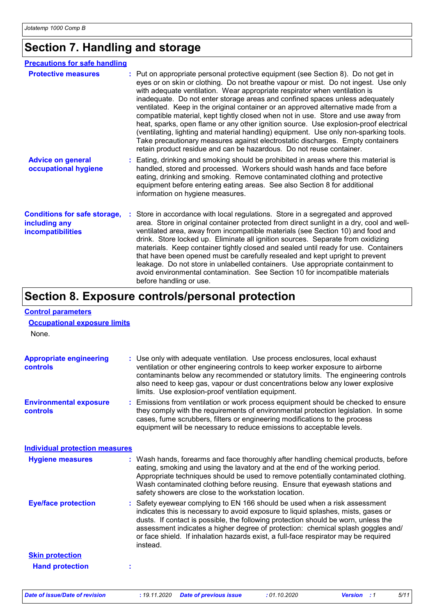## **Section 7. Handling and storage**

| <b>Precautions for safe handling</b>                                             |                                                                                                                                                                                                                                                                                                                                                                                                                                                                                                                                                                                                                                                                                                                                                                                                                                                              |
|----------------------------------------------------------------------------------|--------------------------------------------------------------------------------------------------------------------------------------------------------------------------------------------------------------------------------------------------------------------------------------------------------------------------------------------------------------------------------------------------------------------------------------------------------------------------------------------------------------------------------------------------------------------------------------------------------------------------------------------------------------------------------------------------------------------------------------------------------------------------------------------------------------------------------------------------------------|
| <b>Protective measures</b>                                                       | : Put on appropriate personal protective equipment (see Section 8). Do not get in<br>eyes or on skin or clothing. Do not breathe vapour or mist. Do not ingest. Use only<br>with adequate ventilation. Wear appropriate respirator when ventilation is<br>inadequate. Do not enter storage areas and confined spaces unless adequately<br>ventilated. Keep in the original container or an approved alternative made from a<br>compatible material, kept tightly closed when not in use. Store and use away from<br>heat, sparks, open flame or any other ignition source. Use explosion-proof electrical<br>(ventilating, lighting and material handling) equipment. Use only non-sparking tools.<br>Take precautionary measures against electrostatic discharges. Empty containers<br>retain product residue and can be hazardous. Do not reuse container. |
| <b>Advice on general</b><br>occupational hygiene                                 | : Eating, drinking and smoking should be prohibited in areas where this material is<br>handled, stored and processed. Workers should wash hands and face before<br>eating, drinking and smoking. Remove contaminated clothing and protective<br>equipment before entering eating areas. See also Section 8 for additional<br>information on hygiene measures.                                                                                                                                                                                                                                                                                                                                                                                                                                                                                                |
| <b>Conditions for safe storage,</b><br>including any<br><b>incompatibilities</b> | Store in accordance with local regulations. Store in a segregated and approved<br>area. Store in original container protected from direct sunlight in a dry, cool and well-<br>ventilated area, away from incompatible materials (see Section 10) and food and<br>drink. Store locked up. Eliminate all ignition sources. Separate from oxidizing<br>materials. Keep container tightly closed and sealed until ready for use. Containers<br>that have been opened must be carefully resealed and kept upright to prevent<br>leakage. Do not store in unlabelled containers. Use appropriate containment to<br>avoid environmental contamination. See Section 10 for incompatible materials<br>before handling or use.                                                                                                                                        |

# **Section 8. Exposure controls/personal protection**

| <b>Control parameters</b>                    |                                                                                                                                                                                                                                                                                                                                                                                                                                              |
|----------------------------------------------|----------------------------------------------------------------------------------------------------------------------------------------------------------------------------------------------------------------------------------------------------------------------------------------------------------------------------------------------------------------------------------------------------------------------------------------------|
| <b>Occupational exposure limits</b><br>None. |                                                                                                                                                                                                                                                                                                                                                                                                                                              |
| <b>Appropriate engineering</b><br>controls   | : Use only with adequate ventilation. Use process enclosures, local exhaust<br>ventilation or other engineering controls to keep worker exposure to airborne<br>contaminants below any recommended or statutory limits. The engineering controls<br>also need to keep gas, vapour or dust concentrations below any lower explosive<br>limits. Use explosion-proof ventilation equipment.                                                     |
| <b>Environmental exposure</b><br>controls    | : Emissions from ventilation or work process equipment should be checked to ensure<br>they comply with the requirements of environmental protection legislation. In some<br>cases, fume scrubbers, filters or engineering modifications to the process<br>equipment will be necessary to reduce emissions to acceptable levels.                                                                                                              |
| <b>Individual protection measures</b>        |                                                                                                                                                                                                                                                                                                                                                                                                                                              |
| <b>Hygiene measures</b>                      | : Wash hands, forearms and face thoroughly after handling chemical products, before<br>eating, smoking and using the lavatory and at the end of the working period.<br>Appropriate techniques should be used to remove potentially contaminated clothing.<br>Wash contaminated clothing before reusing. Ensure that eyewash stations and<br>safety showers are close to the workstation location.                                            |
| <b>Eye/face protection</b>                   | : Safety eyewear complying to EN 166 should be used when a risk assessment<br>indicates this is necessary to avoid exposure to liquid splashes, mists, gases or<br>dusts. If contact is possible, the following protection should be worn, unless the<br>assessment indicates a higher degree of protection: chemical splash goggles and/<br>or face shield. If inhalation hazards exist, a full-face respirator may be required<br>instead. |
| <b>Skin protection</b>                       |                                                                                                                                                                                                                                                                                                                                                                                                                                              |
| <b>Hand protection</b>                       |                                                                                                                                                                                                                                                                                                                                                                                                                                              |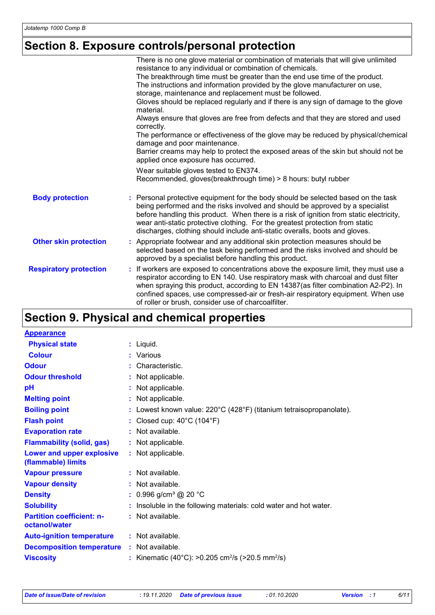# **Section 8. Exposure controls/personal protection**

|                               | There is no one glove material or combination of materials that will give unlimited<br>resistance to any individual or combination of chemicals.                                                                                                                                                                                                                                                                            |
|-------------------------------|-----------------------------------------------------------------------------------------------------------------------------------------------------------------------------------------------------------------------------------------------------------------------------------------------------------------------------------------------------------------------------------------------------------------------------|
|                               | The breakthrough time must be greater than the end use time of the product.                                                                                                                                                                                                                                                                                                                                                 |
|                               | The instructions and information provided by the glove manufacturer on use,<br>storage, maintenance and replacement must be followed.                                                                                                                                                                                                                                                                                       |
|                               | Gloves should be replaced regularly and if there is any sign of damage to the glove<br>material.                                                                                                                                                                                                                                                                                                                            |
|                               | Always ensure that gloves are free from defects and that they are stored and used<br>correctly.                                                                                                                                                                                                                                                                                                                             |
|                               | The performance or effectiveness of the glove may be reduced by physical/chemical<br>damage and poor maintenance.                                                                                                                                                                                                                                                                                                           |
|                               | Barrier creams may help to protect the exposed areas of the skin but should not be<br>applied once exposure has occurred.                                                                                                                                                                                                                                                                                                   |
|                               | Wear suitable gloves tested to EN374.<br>Recommended, gloves(breakthrough time) > 8 hours: butyl rubber                                                                                                                                                                                                                                                                                                                     |
|                               |                                                                                                                                                                                                                                                                                                                                                                                                                             |
| <b>Body protection</b>        | Personal protective equipment for the body should be selected based on the task<br>being performed and the risks involved and should be approved by a specialist<br>before handling this product. When there is a risk of ignition from static electricity,<br>wear anti-static protective clothing. For the greatest protection from static<br>discharges, clothing should include anti-static overalls, boots and gloves. |
| <b>Other skin protection</b>  | : Appropriate footwear and any additional skin protection measures should be<br>selected based on the task being performed and the risks involved and should be<br>approved by a specialist before handling this product.                                                                                                                                                                                                   |
| <b>Respiratory protection</b> | If workers are exposed to concentrations above the exposure limit, they must use a<br>÷.<br>respirator according to EN 140. Use respiratory mask with charcoal and dust filter<br>when spraying this product, according to EN 14387(as filter combination A2-P2). In<br>confined spaces, use compressed-air or fresh-air respiratory equipment. When use<br>of roller or brush, consider use of charcoalfilter.             |

# **Section 9. Physical and chemical properties**

| <b>Appearance</b>                                 |                                                                          |
|---------------------------------------------------|--------------------------------------------------------------------------|
| <b>Physical state</b>                             | $:$ Liquid.                                                              |
| <b>Colour</b>                                     | : Various                                                                |
| <b>Odour</b>                                      | : Characteristic.                                                        |
| <b>Odour threshold</b>                            | Not applicable.                                                          |
| pH                                                | : Not applicable.                                                        |
| <b>Melting point</b>                              | : Not applicable.                                                        |
| <b>Boiling point</b>                              | : Lowest known value: 220°C (428°F) (titanium tetraisopropanolate).      |
| <b>Flash point</b>                                | Closed cup: 40°C (104°F)                                                 |
| <b>Evaporation rate</b>                           | : Not available.                                                         |
| <b>Flammability (solid, gas)</b>                  | : Not applicable.                                                        |
| Lower and upper explosive<br>(flammable) limits   | : Not applicable.                                                        |
| <b>Vapour pressure</b>                            | : Not available.                                                         |
| <b>Vapour density</b>                             | : Not available.                                                         |
| <b>Density</b>                                    | : $0.996$ g/cm <sup>3</sup> @ 20 °C                                      |
| <b>Solubility</b>                                 | Insoluble in the following materials: cold water and hot water.          |
| <b>Partition coefficient: n-</b><br>octanol/water | : Not available.                                                         |
| <b>Auto-ignition temperature</b>                  | : Not available.                                                         |
| <b>Decomposition temperature</b>                  | : Not available.                                                         |
| <b>Viscosity</b>                                  | : Kinematic (40°C): >0.205 cm <sup>2</sup> /s (>20.5 mm <sup>2</sup> /s) |
|                                                   |                                                                          |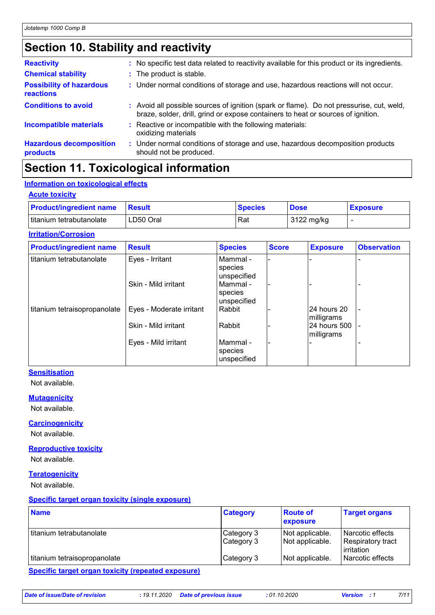# **Section 10. Stability and reactivity**

| <b>Reactivity</b>                                   | : No specific test data related to reactivity available for this product or its ingredients.                                                                                 |
|-----------------------------------------------------|------------------------------------------------------------------------------------------------------------------------------------------------------------------------------|
| <b>Chemical stability</b>                           | : The product is stable.                                                                                                                                                     |
| <b>Possibility of hazardous</b><br><b>reactions</b> | : Under normal conditions of storage and use, hazardous reactions will not occur.                                                                                            |
| <b>Conditions to avoid</b>                          | : Avoid all possible sources of ignition (spark or flame). Do not pressurise, cut, weld,<br>braze, solder, drill, grind or expose containers to heat or sources of ignition. |
| <b>Incompatible materials</b>                       | : Reactive or incompatible with the following materials:<br>oxidizing materials                                                                                              |
| <b>Hazardous decomposition</b><br>products          | : Under normal conditions of storage and use, hazardous decomposition products<br>should not be produced.                                                                    |

## **Section 11. Toxicological information**

### **Information on toxicological effects**

#### **Acute toxicity**

| <b>Product/ingredient name</b> | <b>Besult</b> | <b>Species</b> | <b>Dose</b>          | <b>Exposure</b> |
|--------------------------------|---------------|----------------|----------------------|-----------------|
| titanium tetrabutanolate       | LD50 Oral     | Rat            | $3122 \text{ mg/kg}$ |                 |

#### **Irritation/Corrosion**

| <b>Product/ingredient name</b> | <b>Result</b>            | <b>Species</b>                     | <b>Score</b> | <b>Exposure</b>            | <b>Observation</b> |
|--------------------------------|--------------------------|------------------------------------|--------------|----------------------------|--------------------|
| l titanium tetrabutanolate     | Eyes - Irritant          | Mammal -<br>species<br>unspecified |              |                            |                    |
|                                | Skin - Mild irritant     | Mammal -<br>species<br>unspecified |              |                            |                    |
| titanium tetraisopropanolate   | Eyes - Moderate irritant | Rabbit                             |              | 24 hours 20<br>milligrams  |                    |
|                                | Skin - Mild irritant     | Rabbit                             |              | 24 hours 500<br>milligrams | $\sim$             |
|                                | Eyes - Mild irritant     | Mammal -<br>species<br>unspecified |              |                            |                    |

### **Sensitisation**

Not available.

#### **Mutagenicity**

Not available.

#### **Carcinogenicity**

Not available.

#### **Reproductive toxicity**

Not available.

#### **Teratogenicity**

Not available.

#### **Specific target organ toxicity (single exposure)**

| <b>Name</b>                  | <b>Category</b>          | <b>Route of</b><br><b>exposure</b> | <b>Target organs</b>                                |
|------------------------------|--------------------------|------------------------------------|-----------------------------------------------------|
| l titanium tetrabutanolate   | Category 3<br>Category 3 | Not applicable.<br>Not applicable. | Narcotic effects<br>Respiratory tract<br>irritation |
| titanium tetraisopropanolate | Category 3               | Not applicable.                    | Narcotic effects                                    |
|                              |                          |                                    |                                                     |

#### **Specific target organ toxicity (repeated exposure)**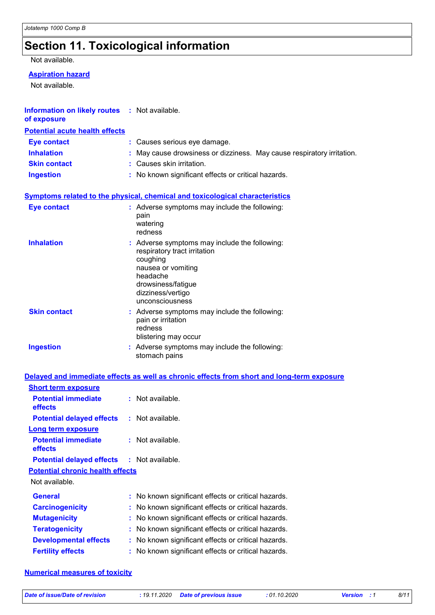# **Section 11. Toxicological information**

#### Not available.

### **Aspiration hazard**

Not available.

| <b>Information on likely routes : Not available.</b><br>of exposure |   |                                                                                                                                                                                           |
|---------------------------------------------------------------------|---|-------------------------------------------------------------------------------------------------------------------------------------------------------------------------------------------|
| <b>Potential acute health effects</b>                               |   |                                                                                                                                                                                           |
| <b>Eye contact</b>                                                  |   | : Causes serious eye damage.                                                                                                                                                              |
| <b>Inhalation</b>                                                   |   | May cause drowsiness or dizziness. May cause respiratory irritation.                                                                                                                      |
| <b>Skin contact</b>                                                 |   | Causes skin irritation.                                                                                                                                                                   |
| <b>Ingestion</b>                                                    |   | No known significant effects or critical hazards.                                                                                                                                         |
|                                                                     |   | <b>Symptoms related to the physical, chemical and toxicological characteristics</b>                                                                                                       |
| <b>Eye contact</b>                                                  |   | : Adverse symptoms may include the following:<br>pain<br>watering<br>redness                                                                                                              |
| <b>Inhalation</b>                                                   |   | : Adverse symptoms may include the following:<br>respiratory tract irritation<br>coughing<br>nausea or vomiting<br>headache<br>drowsiness/fatigue<br>dizziness/vertigo<br>unconsciousness |
| <b>Skin contact</b>                                                 |   | : Adverse symptoms may include the following:<br>pain or irritation<br>redness<br>blistering may occur                                                                                    |
| <b>Ingestion</b>                                                    |   | : Adverse symptoms may include the following:<br>stomach pains                                                                                                                            |
|                                                                     |   | Delayed and immediate effects as well as chronic effects from short and long-term exposure                                                                                                |
| <b>Short term exposure</b>                                          |   |                                                                                                                                                                                           |
| <b>Potential immediate</b><br>effects                               |   | : Not available.                                                                                                                                                                          |
| <b>Potential delayed effects</b>                                    |   | : Not available.                                                                                                                                                                          |
| <b>Long term exposure</b>                                           |   |                                                                                                                                                                                           |
| <b>Potential immediate</b><br>effects                               |   | Not available.                                                                                                                                                                            |
| <b>Potential delayed effects</b>                                    |   | : Not available.                                                                                                                                                                          |
| <b>Potential chronic health effects</b>                             |   |                                                                                                                                                                                           |
| Not available.                                                      |   |                                                                                                                                                                                           |
| <b>General</b>                                                      | ÷ | No known significant effects or critical hazards.                                                                                                                                         |
| <b>Carcinogenicity</b>                                              |   | No known significant effects or critical hazards.                                                                                                                                         |
| <b>Mutagenicity</b>                                                 |   | No known significant effects or critical hazards.                                                                                                                                         |

**Developmental effects :** No known significant effects or critical hazards. **Fertility effects :** No known significant effects or critical hazards.

### **Numerical measures of toxicity**

*Date of issue/Date of revision* **:** *19.11.2020 Date of previous issue : 01.10.2020 Version : 1 8/11*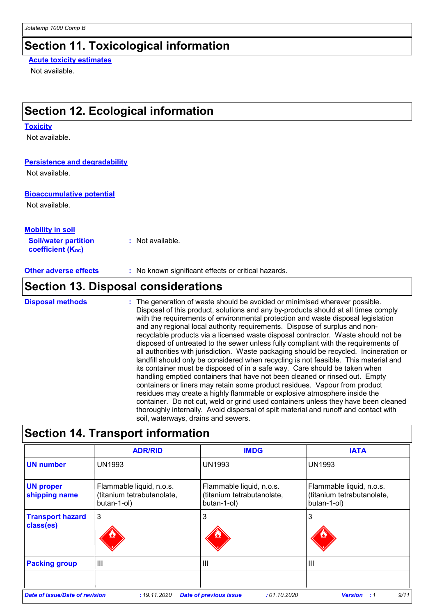### **Section 11. Toxicological information**

### **Acute toxicity estimates**

Not available.

## **Section 12. Ecological information**

#### **Toxicity**

Not available.

#### **Persistence and degradability**

Not available.

#### **Bioaccumulative potential**

Not available.

#### **Soil/water partition coefficient (KOC) :** Not available. **Mobility in soil**

**Other adverse effects :** No known significant effects or critical hazards.

## **Section 13. Disposal considerations**

The generation of waste should be avoided or minimised wherever possible. **Disposal methods :**

Disposal of this product, solutions and any by-products should at all times comply with the requirements of environmental protection and waste disposal legislation and any regional local authority requirements. Dispose of surplus and nonrecyclable products via a licensed waste disposal contractor. Waste should not be disposed of untreated to the sewer unless fully compliant with the requirements of all authorities with jurisdiction. Waste packaging should be recycled. Incineration or landfill should only be considered when recycling is not feasible. This material and its container must be disposed of in a safe way. Care should be taken when handling emptied containers that have not been cleaned or rinsed out. Empty containers or liners may retain some product residues. Vapour from product residues may create a highly flammable or explosive atmosphere inside the container. Do not cut, weld or grind used containers unless they have been cleaned thoroughly internally. Avoid dispersal of spilt material and runoff and contact with soil, waterways, drains and sewers.

|                                      | <b>ADR/RID</b>                                                        | <b>IMDG</b>                                                           | <b>IATA</b>                                                           |
|--------------------------------------|-----------------------------------------------------------------------|-----------------------------------------------------------------------|-----------------------------------------------------------------------|
| <b>UN number</b>                     | UN1993                                                                | <b>UN1993</b>                                                         | UN1993                                                                |
| <b>UN proper</b><br>shipping name    | Flammable liquid, n.o.s.<br>(titanium tetrabutanolate,<br>butan-1-ol) | Flammable liquid, n.o.s.<br>(titanium tetrabutanolate,<br>butan-1-ol) | Flammable liquid, n.o.s.<br>(titanium tetrabutanolate,<br>butan-1-ol) |
| <b>Transport hazard</b><br>class(es) | 3                                                                     | 3                                                                     | 3                                                                     |
| <b>Packing group</b>                 | III                                                                   | $\mathbf{III}$                                                        | $\mathbf{III}$                                                        |
|                                      |                                                                       |                                                                       |                                                                       |

## **Section 14. Transport information**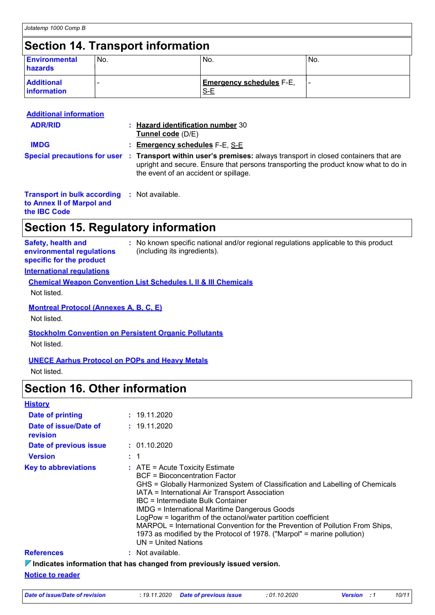## **Section 14. Transport information**

| <b>Environmental</b><br>hazards         | 'No. | No.                                    | 'No. |
|-----------------------------------------|------|----------------------------------------|------|
| <b>Additional</b><br><b>information</b> |      | <b>Emergency schedules F-E,</b><br>S-E |      |

| <b>Additional information</b>                       |                                                                                                                                                                                                                                                 |
|-----------------------------------------------------|-------------------------------------------------------------------------------------------------------------------------------------------------------------------------------------------------------------------------------------------------|
| <b>ADR/RID</b>                                      | : Hazard identification number 30<br>Tunnel code (D/E)                                                                                                                                                                                          |
| <b>IMDG</b>                                         | $:$ Emergency schedules $F-E$ , S-E                                                                                                                                                                                                             |
|                                                     | Special precautions for user : Transport within user's premises: always transport in closed containers that are<br>upright and secure. Ensure that persons transporting the product know what to do in<br>the event of an accident or spillage. |
| <b>Transport in bulk according : Not available.</b> |                                                                                                                                                                                                                                                 |

**to Annex II of Marpol and the IBC Code**

### **Section 15. Regulatory information**

| <b>Safety, health and</b><br>environmental regulations<br>specific for the product | : No known specific national and/or regional regulations applicable to this product<br>(including its ingredients). |
|------------------------------------------------------------------------------------|---------------------------------------------------------------------------------------------------------------------|
|------------------------------------------------------------------------------------|---------------------------------------------------------------------------------------------------------------------|

### **International regulations**

| <b>Chemical Weapon Convention List Schedules I, II &amp; III Chemicals</b> |  |
|----------------------------------------------------------------------------|--|
| Not listed.                                                                |  |

### **Montreal Protocol (Annexes A, B, C, E)**

Not listed.

### **Stockholm Convention on Persistent Organic Pollutants**

Not listed.

### **UNECE Aarhus Protocol on POPs and Heavy Metals**

Not listed.

### **Section 16. Other information**

| <b>History</b> |  |
|----------------|--|
|----------------|--|

| <b>Date of printing</b>           | : 19.11.2020                                                                                                                                                                                                                                                                                                                                                                                                                                                                                                                                                    |
|-----------------------------------|-----------------------------------------------------------------------------------------------------------------------------------------------------------------------------------------------------------------------------------------------------------------------------------------------------------------------------------------------------------------------------------------------------------------------------------------------------------------------------------------------------------------------------------------------------------------|
| Date of issue/Date of<br>revision | : 19.11.2020                                                                                                                                                                                                                                                                                                                                                                                                                                                                                                                                                    |
| Date of previous issue            | : 01.10.2020                                                                                                                                                                                                                                                                                                                                                                                                                                                                                                                                                    |
| <b>Version</b>                    |                                                                                                                                                                                                                                                                                                                                                                                                                                                                                                                                                                 |
| <b>Key to abbreviations</b>       | $\therefore$ ATE = Acute Toxicity Estimate<br>BCF = Bioconcentration Factor<br>GHS = Globally Harmonized System of Classification and Labelling of Chemicals<br>IATA = International Air Transport Association<br>IBC = Intermediate Bulk Container<br><b>IMDG = International Maritime Dangerous Goods</b><br>LogPow = logarithm of the octanol/water partition coefficient<br>MARPOL = International Convention for the Prevention of Pollution From Ships,<br>1973 as modified by the Protocol of 1978. ("Marpol" = marine pollution)<br>UN = United Nations |
| <b>References</b>                 | : Not available.                                                                                                                                                                                                                                                                                                                                                                                                                                                                                                                                                |
|                                   | $\nabla$ Indicates information that has changed from previously issued version.                                                                                                                                                                                                                                                                                                                                                                                                                                                                                 |
| <b>Notice to reader</b>           |                                                                                                                                                                                                                                                                                                                                                                                                                                                                                                                                                                 |